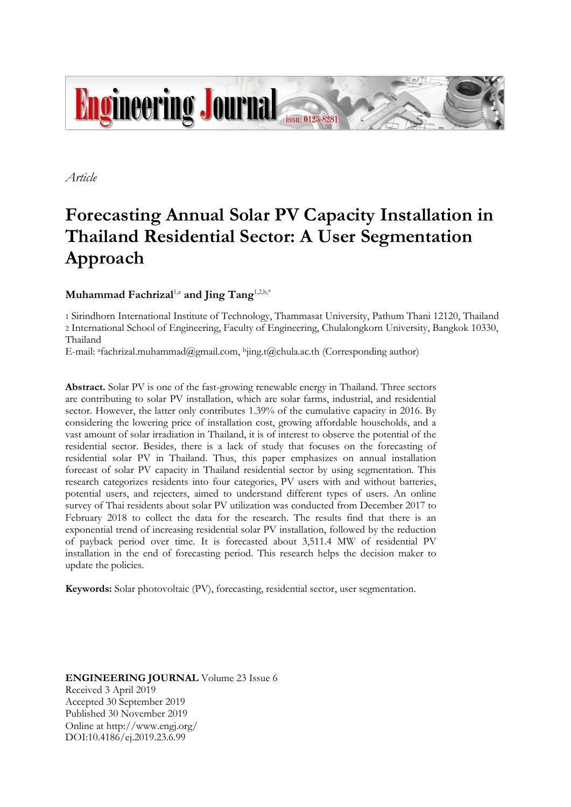

*Article*

# **Forecasting Annual Solar PV Capacity Installation in Thailand Residential Sector: A User Segmentation Approach**

# $\mathbf{Mu}$ hammad Fachrizal<sup>1,a</sup> and Jing Tang<sup>1,2,b,\*</sup>

1 Sirindhorn International Institute of Technology, Thammasat University, Pathum Thani 12120, Thailand 2 International School of Engineering, Faculty of Engineering, Chulalongkorn University, Bangkok 10330, Thailand

E-mail: afachrizal.muhammad@gmail.com,  $b$ ing.t@chula.ac.th (Corresponding author)

**Abstract.** Solar PV is one of the fast-growing renewable energy in Thailand. Three sectors are contributing to solar PV installation, which are solar farms, industrial, and residential sector. However, the latter only contributes 1.39% of the cumulative capacity in 2016. By considering the lowering price of installation cost, growing affordable households, and a vast amount of solar irradiation in Thailand, it is of interest to observe the potential of the residential sector. Besides, there is a lack of study that focuses on the forecasting of residential solar PV in Thailand. Thus, this paper emphasizes on annual installation forecast of solar PV capacity in Thailand residential sector by using segmentation. This research categorizes residents into four categories, PV users with and without batteries, potential users, and rejecters, aimed to understand different types of users. An online survey of Thai residents about solar PV utilization was conducted from December 2017 to February 2018 to collect the data for the research. The results find that there is an exponential trend of increasing residential solar PV installation, followed by the reduction of payback period over time. It is forecasted about 3,511.4 MW of residential PV installation in the end of forecasting period. This research helps the decision maker to update the policies.

**Keywords:** Solar photovoltaic (PV), forecasting, residential sector, user segmentation.

**ENGINEERING JOURNAL** Volume 23 Issue 6 Received 3 April 2019 Accepted 30 September 2019 Published 30 November 2019 Online at http://www.engj.org/ DOI:10.4186/ej.2019.23.6.99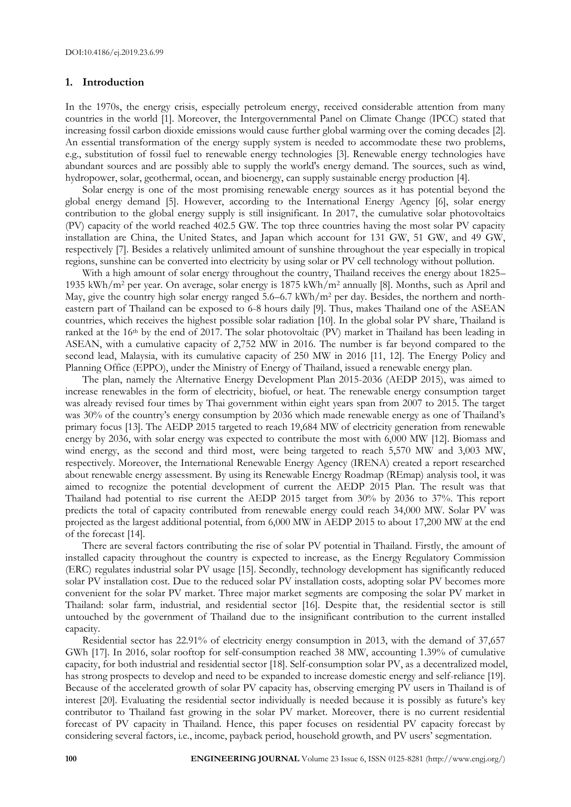# **1. Introduction**

In the 1970s, the energy crisis, especially petroleum energy, received considerable attention from many countries in the world [1]. Moreover, the Intergovernmental Panel on Climate Change (IPCC) stated that increasing fossil carbon dioxide emissions would cause further global warming over the coming decades [2]. An essential transformation of the energy supply system is needed to accommodate these two problems, e.g., substitution of fossil fuel to renewable energy technologies [3]. Renewable energy technologies have abundant sources and are possibly able to supply the world's energy demand. The sources, such as wind, hydropower, solar, geothermal, ocean, and bioenergy, can supply sustainable energy production [4].

Solar energy is one of the most promising renewable energy sources as it has potential beyond the global energy demand [5]. However, according to the International Energy Agency [6], solar energy contribution to the global energy supply is still insignificant. In 2017, the cumulative solar photovoltaics (PV) capacity of the world reached 402.5 GW. The top three countries having the most solar PV capacity installation are China, the United States, and Japan which account for 131 GW, 51 GW, and 49 GW, respectively [7]. Besides a relatively unlimited amount of sunshine throughout the year especially in tropical regions, sunshine can be converted into electricity by using solar or PV cell technology without pollution.

With a high amount of solar energy throughout the country, Thailand receives the energy about 1825– 1935 kWh/m<sup>2</sup> per year. On average, solar energy is 1875 kWh/m<sup>2</sup> annually [8]. Months, such as April and May, give the country high solar energy ranged 5.6–6.7 kWh/m<sup>2</sup> per day. Besides, the northern and northeastern part of Thailand can be exposed to 6-8 hours daily [9]. Thus, makes Thailand one of the ASEAN countries, which receives the highest possible solar radiation [10]. In the global solar PV share, Thailand is ranked at the 16<sup>th</sup> by the end of 2017. The solar photovoltaic (PV) market in Thailand has been leading in ASEAN, with a cumulative capacity of 2,752 MW in 2016. The number is far beyond compared to the second lead, Malaysia, with its cumulative capacity of 250 MW in 2016 [11, 12]. The Energy Policy and Planning Office (EPPO), under the Ministry of Energy of Thailand, issued a renewable energy plan.

The plan, namely the Alternative Energy Development Plan 2015-2036 (AEDP 2015), was aimed to increase renewables in the form of electricity, biofuel, or heat. The renewable energy consumption target was already revised four times by Thai government within eight years span from 2007 to 2015. The target was 30% of the country's energy consumption by 2036 which made renewable energy as one of Thailand's primary focus [13]. The AEDP 2015 targeted to reach 19,684 MW of electricity generation from renewable energy by 2036, with solar energy was expected to contribute the most with 6,000 MW [12]. Biomass and wind energy, as the second and third most, were being targeted to reach 5,570 MW and 3,003 MW, respectively. Moreover, the International Renewable Energy Agency (IRENA) created a report researched about renewable energy assessment. By using its Renewable Energy Roadmap (REmap) analysis tool, it was aimed to recognize the potential development of current the AEDP 2015 Plan. The result was that Thailand had potential to rise current the AEDP 2015 target from 30% by 2036 to 37%. This report predicts the total of capacity contributed from renewable energy could reach 34,000 MW. Solar PV was projected as the largest additional potential, from 6,000 MW in AEDP 2015 to about 17,200 MW at the end of the forecast [14].

There are several factors contributing the rise of solar PV potential in Thailand. Firstly, the amount of installed capacity throughout the country is expected to increase, as the Energy Regulatory Commission (ERC) regulates industrial solar PV usage [15]. Secondly, technology development has significantly reduced solar PV installation cost. Due to the reduced solar PV installation costs, adopting solar PV becomes more convenient for the solar PV market. Three major market segments are composing the solar PV market in Thailand: solar farm, industrial, and residential sector [16]. Despite that, the residential sector is still untouched by the government of Thailand due to the insignificant contribution to the current installed capacity.

Residential sector has 22.91% of electricity energy consumption in 2013, with the demand of 37,657 GWh [17]. In 2016, solar rooftop for self-consumption reached 38 MW, accounting 1.39% of cumulative capacity, for both industrial and residential sector [18]. Self-consumption solar PV, as a decentralized model, has strong prospects to develop and need to be expanded to increase domestic energy and self-reliance [19]. Because of the accelerated growth of solar PV capacity has, observing emerging PV users in Thailand is of interest [20]. Evaluating the residential sector individually is needed because it is possibly as future's key contributor to Thailand fast growing in the solar PV market. Moreover, there is no current residential forecast of PV capacity in Thailand. Hence, this paper focuses on residential PV capacity forecast by considering several factors, i.e., income, payback period, household growth, and PV users' segmentation.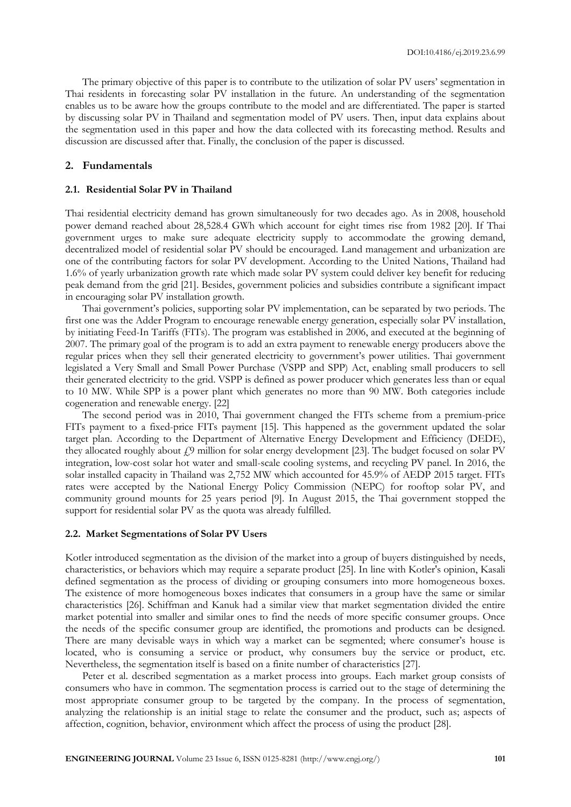The primary objective of this paper is to contribute to the utilization of solar PV users' segmentation in Thai residents in forecasting solar PV installation in the future. An understanding of the segmentation enables us to be aware how the groups contribute to the model and are differentiated. The paper is started by discussing solar PV in Thailand and segmentation model of PV users. Then, input data explains about the segmentation used in this paper and how the data collected with its forecasting method. Results and discussion are discussed after that. Finally, the conclusion of the paper is discussed.

# **2. Fundamentals**

#### **2.1. Residential Solar PV in Thailand**

Thai residential electricity demand has grown simultaneously for two decades ago. As in 2008, household power demand reached about 28,528.4 GWh which account for eight times rise from 1982 [20]. If Thai government urges to make sure adequate electricity supply to accommodate the growing demand, decentralized model of residential solar PV should be encouraged. Land management and urbanization are one of the contributing factors for solar PV development. According to the United Nations, Thailand had 1.6% of yearly urbanization growth rate which made solar PV system could deliver key benefit for reducing peak demand from the grid [21]. Besides, government policies and subsidies contribute a significant impact in encouraging solar PV installation growth.

Thai government's policies, supporting solar PV implementation, can be separated by two periods. The first one was the Adder Program to encourage renewable energy generation, especially solar PV installation, by initiating Feed-In Tariffs (FITs). The program was established in 2006, and executed at the beginning of 2007. The primary goal of the program is to add an extra payment to renewable energy producers above the regular prices when they sell their generated electricity to government's power utilities. Thai government legislated a Very Small and Small Power Purchase (VSPP and SPP) Act, enabling small producers to sell their generated electricity to the grid. VSPP is defined as power producer which generates less than or equal to 10 MW. While SPP is a power plant which generates no more than 90 MW. Both categories include cogeneration and renewable energy. [22]

The second period was in 2010, Thai government changed the FITs scheme from a premium-price FITs payment to a fixed-price FITs payment [15]. This happened as the government updated the solar target plan. According to the Department of Alternative Energy Development and Efficiency (DEDE), they allocated roughly about  $f$ 9 million for solar energy development [23]. The budget focused on solar PV integration, low-cost solar hot water and small-scale cooling systems, and recycling PV panel. In 2016, the solar installed capacity in Thailand was 2,752 MW which accounted for 45.9% of AEDP 2015 target. FITs rates were accepted by the National Energy Policy Commission (NEPC) for rooftop solar PV, and community ground mounts for 25 years period [9]. In August 2015, the Thai government stopped the support for residential solar PV as the quota was already fulfilled.

#### **2.2. Market Segmentations of Solar PV Users**

Kotler introduced segmentation as the division of the market into a group of buyers distinguished by needs, characteristics, or behaviors which may require a separate product [25]. In line with Kotler's opinion, Kasali defined segmentation as the process of dividing or grouping consumers into more homogeneous boxes. The existence of more homogeneous boxes indicates that consumers in a group have the same or similar characteristics [26]. Schiffman and Kanuk had a similar view that market segmentation divided the entire market potential into smaller and similar ones to find the needs of more specific consumer groups. Once the needs of the specific consumer group are identified, the promotions and products can be designed. There are many devisable ways in which way a market can be segmented; where consumer's house is located, who is consuming a service or product, why consumers buy the service or product, etc. Nevertheless, the segmentation itself is based on a finite number of characteristics [27].

Peter et al. described segmentation as a market process into groups. Each market group consists of consumers who have in common. The segmentation process is carried out to the stage of determining the most appropriate consumer group to be targeted by the company. In the process of segmentation, analyzing the relationship is an initial stage to relate the consumer and the product, such as; aspects of affection, cognition, behavior, environment which affect the process of using the product [28].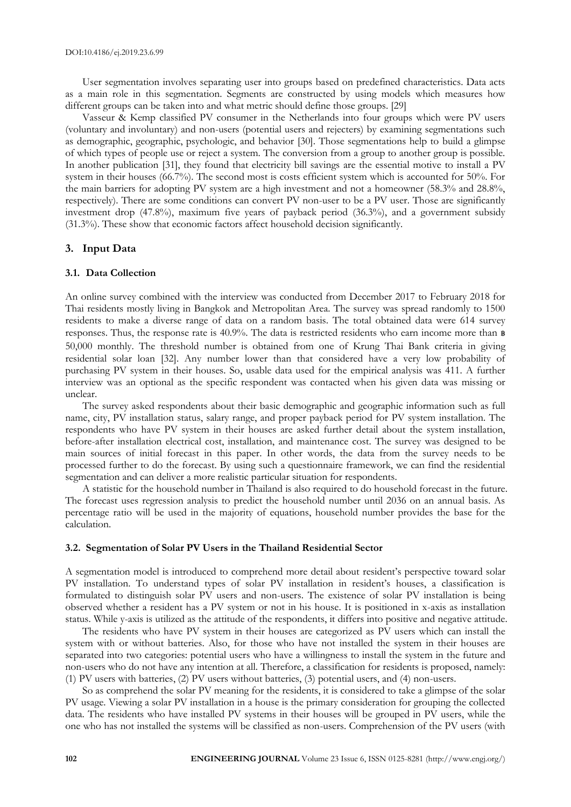User segmentation involves separating user into groups based on predefined characteristics. Data acts as a main role in this segmentation. Segments are constructed by using models which measures how different groups can be taken into and what metric should define those groups. [29]

Vasseur & Kemp classified PV consumer in the Netherlands into four groups which were PV users (voluntary and involuntary) and non-users (potential users and rejecters) by examining segmentations such as demographic, geographic, psychologic, and behavior [30]. Those segmentations help to build a glimpse of which types of people use or reject a system. The conversion from a group to another group is possible. In another publication [31], they found that electricity bill savings are the essential motive to install a PV system in their houses (66.7%). The second most is costs efficient system which is accounted for 50%. For the main barriers for adopting PV system are a high investment and not a homeowner (58.3% and 28.8%, respectively). There are some conditions can convert PV non-user to be a PV user. Those are significantly investment drop (47.8%), maximum five years of payback period (36.3%), and a government subsidy (31.3%). These show that economic factors affect household decision significantly.

# **3. Input Data**

# **3.1. Data Collection**

An online survey combined with the interview was conducted from December 2017 to February 2018 for Thai residents mostly living in Bangkok and Metropolitan Area. The survey was spread randomly to 1500 residents to make a diverse range of data on a random basis. The total obtained data were 614 survey responses. Thus, the response rate is 40.9%. The data is restricted residents who earn income more than ฿ 50,000 monthly. The threshold number is obtained from one of Krung Thai Bank criteria in giving residential solar loan [32]. Any number lower than that considered have a very low probability of purchasing PV system in their houses. So, usable data used for the empirical analysis was 411. A further interview was an optional as the specific respondent was contacted when his given data was missing or unclear.

The survey asked respondents about their basic demographic and geographic information such as full name, city, PV installation status, salary range, and proper payback period for PV system installation. The respondents who have PV system in their houses are asked further detail about the system installation, before-after installation electrical cost, installation, and maintenance cost. The survey was designed to be main sources of initial forecast in this paper. In other words, the data from the survey needs to be processed further to do the forecast. By using such a questionnaire framework, we can find the residential segmentation and can deliver a more realistic particular situation for respondents.

A statistic for the household number in Thailand is also required to do household forecast in the future. The forecast uses regression analysis to predict the household number until 2036 on an annual basis. As percentage ratio will be used in the majority of equations, household number provides the base for the calculation.

#### **3.2. Segmentation of Solar PV Users in the Thailand Residential Sector**

A segmentation model is introduced to comprehend more detail about resident's perspective toward solar PV installation. To understand types of solar PV installation in resident's houses, a classification is formulated to distinguish solar PV users and non-users. The existence of solar PV installation is being observed whether a resident has a PV system or not in his house. It is positioned in x-axis as installation status. While y-axis is utilized as the attitude of the respondents, it differs into positive and negative attitude.

The residents who have PV system in their houses are categorized as PV users which can install the system with or without batteries. Also, for those who have not installed the system in their houses are separated into two categories: potential users who have a willingness to install the system in the future and non-users who do not have any intention at all. Therefore, a classification for residents is proposed, namely: (1) PV users with batteries, (2) PV users without batteries, (3) potential users, and (4) non-users.

So as comprehend the solar PV meaning for the residents, it is considered to take a glimpse of the solar PV usage. Viewing a solar PV installation in a house is the primary consideration for grouping the collected data. The residents who have installed PV systems in their houses will be grouped in PV users, while the one who has not installed the systems will be classified as non-users. Comprehension of the PV users (with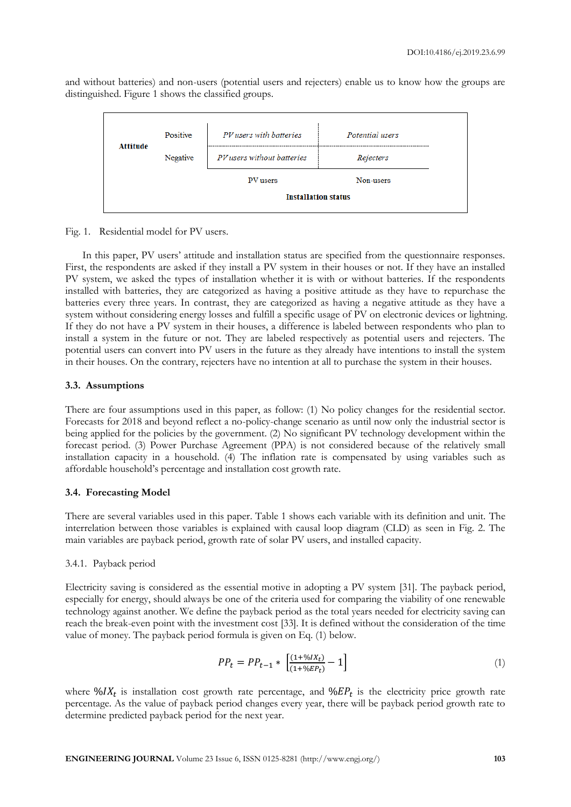and without batteries) and non-users (potential users and rejecters) enable us to know how the groups are distinguished. Figure 1 shows the classified groups.

| Attitude | Positive | PV users with batteries    | Potential users |  |  |  |  |  |
|----------|----------|----------------------------|-----------------|--|--|--|--|--|
|          | Negative | PV users without batteries | Rejecters       |  |  |  |  |  |
|          |          | PV users                   | Non-users       |  |  |  |  |  |
|          |          | <b>Installation status</b> |                 |  |  |  |  |  |

Fig. 1. Residential model for PV users.

In this paper, PV users' attitude and installation status are specified from the questionnaire responses. First, the respondents are asked if they install a PV system in their houses or not. If they have an installed PV system, we asked the types of installation whether it is with or without batteries. If the respondents installed with batteries, they are categorized as having a positive attitude as they have to repurchase the batteries every three years. In contrast, they are categorized as having a negative attitude as they have a system without considering energy losses and fulfill a specific usage of PV on electronic devices or lightning. If they do not have a PV system in their houses, a difference is labeled between respondents who plan to install a system in the future or not. They are labeled respectively as potential users and rejecters. The potential users can convert into PV users in the future as they already have intentions to install the system in their houses. On the contrary, rejecters have no intention at all to purchase the system in their houses.

#### **3.3. Assumptions**

There are four assumptions used in this paper, as follow: (1) No policy changes for the residential sector. Forecasts for 2018 and beyond reflect a no-policy-change scenario as until now only the industrial sector is being applied for the policies by the government. (2) No significant PV technology development within the forecast period. (3) Power Purchase Agreement (PPA) is not considered because of the relatively small installation capacity in a household. (4) The inflation rate is compensated by using variables such as affordable household's percentage and installation cost growth rate.

# **3.4. Forecasting Model**

There are several variables used in this paper. Table 1 shows each variable with its definition and unit. The interrelation between those variables is explained with causal loop diagram (CLD) as seen in Fig. 2. The main variables are payback period, growth rate of solar PV users, and installed capacity.

#### 3.4.1. Payback period

Electricity saving is considered as the essential motive in adopting a PV system [31]. The payback period, especially for energy, should always be one of the criteria used for comparing the viability of one renewable technology against another. We define the payback period as the total years needed for electricity saving can reach the break-even point with the investment cost [33]. It is defined without the consideration of the time value of money. The payback period formula is given on Eq. (1) below.

$$
PP_t = PP_{t-1} * \left[ \frac{(1 + \%IX_t)}{(1 + \%EP_t)} - 1 \right] \tag{1}
$$

where  $\mathcal{W}IX_t$  is installation cost growth rate percentage, and  $\mathcal{W}EP_t$  is the electricity price growth rate percentage. As the value of payback period changes every year, there will be payback period growth rate to determine predicted payback period for the next year.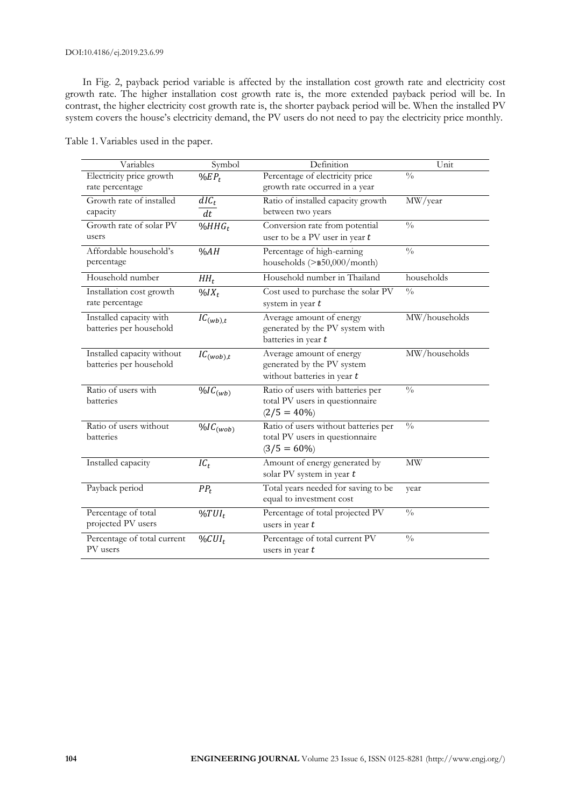#### DOI:10.4186/ej.2019.23.6.99

In Fig. 2, payback period variable is affected by the installation cost growth rate and electricity cost growth rate. The higher installation cost growth rate is, the more extended payback period will be. In contrast, the higher electricity cost growth rate is, the shorter payback period will be. When the installed PV system covers the house's electricity demand, the PV users do not need to pay the electricity price monthly.

| Variables                                             | Symbol                     | Definition                                                                                | Unit          |
|-------------------------------------------------------|----------------------------|-------------------------------------------------------------------------------------------|---------------|
| Electricity price growth<br>rate percentage           | $\%EP_t$                   | Percentage of electricity price<br>growth rate occurred in a year                         | $\frac{0}{0}$ |
| Growth rate of installed<br>capacity                  | $dIC_t$<br>$\overline{dt}$ | Ratio of installed capacity growth<br>between two years                                   | MW/year       |
| Growth rate of solar PV<br>users                      | $%HHG_{t}$                 | Conversion rate from potential<br>user to be a PV user in year $t$                        | $\frac{0}{0}$ |
| Affordable household's<br>percentage                  | %AH                        | Percentage of high-earning<br>households $(>\n$ \$50,000/month)                           | $\frac{0}{0}$ |
| Household number                                      | $HH_t$                     | Household number in Thailand                                                              | households    |
| Installation cost growth<br>rate percentage           | $\frac{0}{0}IX_t$          | Cost used to purchase the solar PV<br>system in year $t$                                  | $\frac{0}{0}$ |
| Installed capacity with<br>batteries per household    | $IC_{(wb),t}$              | Average amount of energy<br>generated by the PV system with<br>batteries in year $t$      | MW/households |
| Installed capacity without<br>batteries per household | $IC_{(wob),t}$             | Average amount of energy<br>generated by the PV system<br>without batteries in year t     | MW/households |
| Ratio of users with<br>batteries                      | $\%IC_{(wb)}$              | Ratio of users with batteries per<br>total PV users in questionnaire<br>$(2/5 = 40\%)$    | $\frac{0}{0}$ |
| Ratio of users without<br>batteries                   | $\%IC_{(wob)}$             | Ratio of users without batteries per<br>total PV users in questionnaire<br>$(3/5 = 60\%)$ | $\frac{0}{0}$ |
| Installed capacity                                    | $IC_t$                     | Amount of energy generated by<br>solar PV system in year $t$                              | MW            |
| Payback period                                        | $PP_t$                     | Total years needed for saving to be<br>equal to investment cost                           | year          |
| Percentage of total<br>projected PV users             | $\%TUI_t$                  | Percentage of total projected PV<br>users in year $t$                                     | $\frac{0}{0}$ |
| Percentage of total current<br>PV users               | $\%CUI_t$                  | Percentage of total current PV<br>users in year $t$                                       | $\frac{0}{0}$ |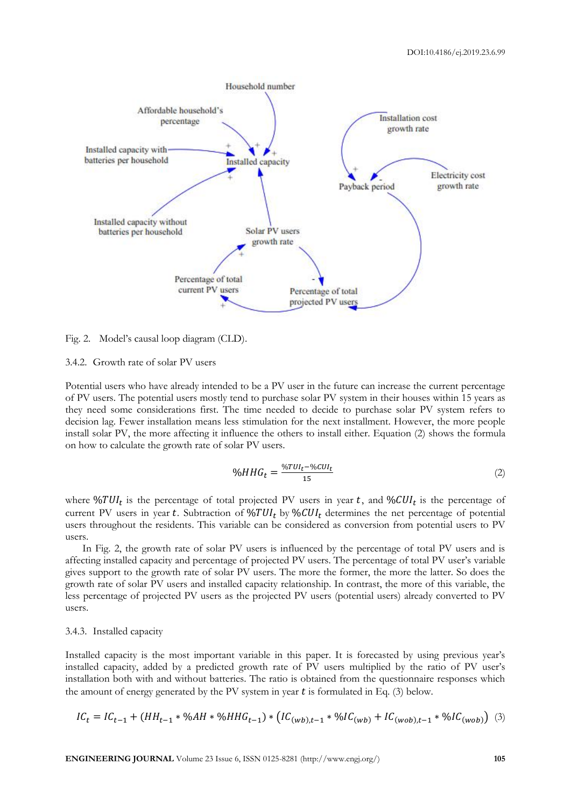

Fig. 2. Model's causal loop diagram (CLD).

#### 3.4.2. Growth rate of solar PV users

Potential users who have already intended to be a PV user in the future can increase the current percentage of PV users. The potential users mostly tend to purchase solar PV system in their houses within 15 years as they need some considerations first. The time needed to decide to purchase solar PV system refers to decision lag. Fewer installation means less stimulation for the next installment. However, the more people install solar PV, the more affecting it influence the others to install either. Equation (2) shows the formula on how to calculate the growth rate of solar PV users.

$$
\%HHG_t = \frac{\%TUI_t - \%CU_t}{15} \tag{2}
$$

where  $\%TUI_t$  is the percentage of total projected PV users in year t, and  $\%CUI_t$  is the percentage of current PV users in year t. Subtraction of  $\frac{6}{U}U_l$  by  $\frac{6}{U}U_l$  determines the net percentage of potential users throughout the residents. This variable can be considered as conversion from potential users to PV users.

In Fig. 2, the growth rate of solar PV users is influenced by the percentage of total PV users and is affecting installed capacity and percentage of projected PV users. The percentage of total PV user's variable gives support to the growth rate of solar PV users. The more the former, the more the latter. So does the growth rate of solar PV users and installed capacity relationship. In contrast, the more of this variable, the less percentage of projected PV users as the projected PV users (potential users) already converted to PV users.

#### 3.4.3. Installed capacity

Installed capacity is the most important variable in this paper. It is forecasted by using previous year's installed capacity, added by a predicted growth rate of PV users multiplied by the ratio of PV user's installation both with and without batteries. The ratio is obtained from the questionnaire responses which the amount of energy generated by the PV system in year  $t$  is formulated in Eq. (3) below.

$$
IC_t = IC_{t-1} + (HH_{t-1} * \%AH * \%HHG_{t-1}) * (IC_{(wb),t-1} * \%IC_{(wb)} + IC_{(wo),t-1} * \%IC_{(wo)})
$$
 (3)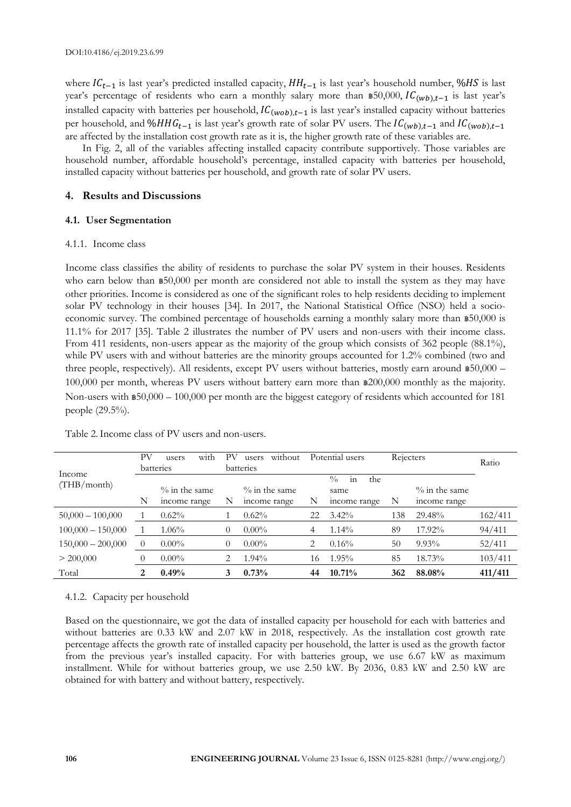where  $IC_{t-1}$  is last year's predicted installed capacity,  $HH_{t-1}$  is last year's household number, % HS is last year's percentage of residents who earn a monthly salary more than  $\mathfrak{B}50,000$ ,  $IC_{(wb),t-1}$  is last year's installed capacity with batteries per household,  $IC_{(wob),t-1}$  is last year's installed capacity without batteries per household, and % $HHG_{t-1}$  is last year's growth rate of solar PV users. The  $IC_{(wb),t-1}$  and  $IC_{(wob),t-1}$ are affected by the installation cost growth rate as it is, the higher growth rate of these variables are.

In Fig. 2, all of the variables affecting installed capacity contribute supportively. Those variables are household number, affordable household's percentage, installed capacity with batteries per household, installed capacity without batteries per household, and growth rate of solar PV users.

# **4. Results and Discussions**

# **4.1. User Segmentation**

# 4.1.1. Income class

Income class classifies the ability of residents to purchase the solar PV system in their houses. Residents who earn below than \$50,000 per month are considered not able to install the system as they may have other priorities. Income is considered as one of the significant roles to help residents deciding to implement solar PV technology in their houses [34]. In 2017, the National Statistical Office (NSO) held a socioeconomic survey. The combined percentage of households earning a monthly salary more than ฿50,000 is 11.1% for 2017 [35]. Table 2 illustrates the number of PV users and non-users with their income class. From 411 residents, non-users appear as the majority of the group which consists of 362 people (88.1%), while PV users with and without batteries are the minority groups accounted for 1.2% combined (two and three people, respectively). All residents, except PV users without batteries, mostly earn around \$50,000 – 100,000 per month, whereas PV users without battery earn more than ฿200,000 monthly as the majority. Non-users with ฿50,000 – 100,000 per month are the biggest category of residents which accounted for 181 people (29.5%).

|                     | PV             | with<br>users    | PV        | without<br>users |    | Potential users           | Rejecters |                  | Ratio   |
|---------------------|----------------|------------------|-----------|------------------|----|---------------------------|-----------|------------------|---------|
| Income              | batteries      |                  | batteries |                  |    |                           |           |                  |         |
| (THB/month)         |                |                  |           |                  |    | $^{0}/_{0}$<br>the<br>111 |           |                  |         |
|                     |                | $\%$ in the same |           | $\%$ in the same |    | same                      |           | $\%$ in the same |         |
|                     | N              | income range     | N         | income range     | N  | income range              | N         | income range     |         |
| $50,000 - 100,000$  |                | $0.62\%$         |           | $0.62\%$         | 22 | $3.42\%$                  | 138       | 29.48%           | 162/411 |
| $100,000 - 150,000$ |                | $1.06\%$         | 0         | $0.00\%$         | 4  | $1.14\%$                  | 89        | 17.92%           | 94/411  |
| $150,000 - 200,000$ | $\overline{0}$ | $0.00\%$         |           | $0.00\%$         | 2  | $0.16\%$                  | 50        | $9.93\%$         | 52/411  |
| > 200,000           |                | $0.00\%$         | 2         | 1.94%            | 16 | $1.95\%$                  | 85        | 18.73%           | 103/411 |
| Total               | 2              | 0.49%            | 3         | 0.73%            | 44 | 10.71%                    | 362       | 88.08%           | 411/411 |

# Table 2.Income class of PV users and non-users.

# 4.1.2. Capacity per household

Based on the questionnaire, we got the data of installed capacity per household for each with batteries and without batteries are 0.33 kW and 2.07 kW in 2018, respectively. As the installation cost growth rate percentage affects the growth rate of installed capacity per household, the latter is used as the growth factor from the previous year's installed capacity. For with batteries group, we use 6.67 kW as maximum installment. While for without batteries group, we use 2.50 kW. By 2036, 0.83 kW and 2.50 kW are obtained for with battery and without battery, respectively.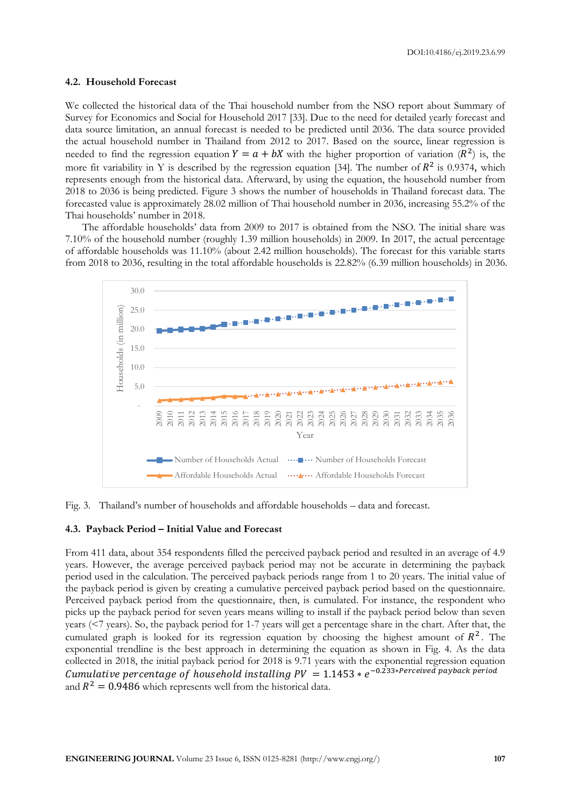#### **4.2. Household Forecast**

We collected the historical data of the Thai household number from the NSO report about Summary of Survey for Economics and Social for Household 2017 [33]. Due to the need for detailed yearly forecast and data source limitation, an annual forecast is needed to be predicted until 2036. The data source provided the actual household number in Thailand from 2012 to 2017. Based on the source, linear regression is needed to find the regression equation  $Y = a + bX$  with the higher proportion of variation  $(R^2)$  is, the more fit variability in Y is described by the regression equation [34]. The number of  $R^2$  is 0.9374, which represents enough from the historical data. Afterward, by using the equation, the household number from 2018 to 2036 is being predicted. Figure 3 shows the number of households in Thailand forecast data. The forecasted value is approximately 28.02 million of Thai household number in 2036, increasing 55.2% of the Thai households' number in 2018.

The affordable households' data from 2009 to 2017 is obtained from the NSO. The initial share was 7.10% of the household number (roughly 1.39 million households) in 2009. In 2017, the actual percentage of affordable households was 11.10% (about 2.42 million households). The forecast for this variable starts from 2018 to 2036, resulting in the total affordable households is 22.82% (6.39 million households) in 2036.



Fig. 3. Thailand's number of households and affordable households – data and forecast.

# **4.3. Payback Period – Initial Value and Forecast**

From 411 data, about 354 respondents filled the perceived payback period and resulted in an average of 4.9 years. However, the average perceived payback period may not be accurate in determining the payback period used in the calculation. The perceived payback periods range from 1 to 20 years. The initial value of the payback period is given by creating a cumulative perceived payback period based on the questionnaire. Perceived payback period from the questionnaire, then, is cumulated. For instance, the respondent who picks up the payback period for seven years means willing to install if the payback period below than seven years (<7 years). So, the payback period for 1-7 years will get a percentage share in the chart. After that, the cumulated graph is looked for its regression equation by choosing the highest amount of  $R^2$ . The exponential trendline is the best approach in determining the equation as shown in Fig. 4. As the data collected in 2018, the initial payback period for 2018 is 9.71 years with the exponential regression equation Cumulative percentage of household installing PV  $\ = 1.1453 * e^{-0.233 * Perceived$  payback period and  $R^2 = 0.9486$  which represents well from the historical data.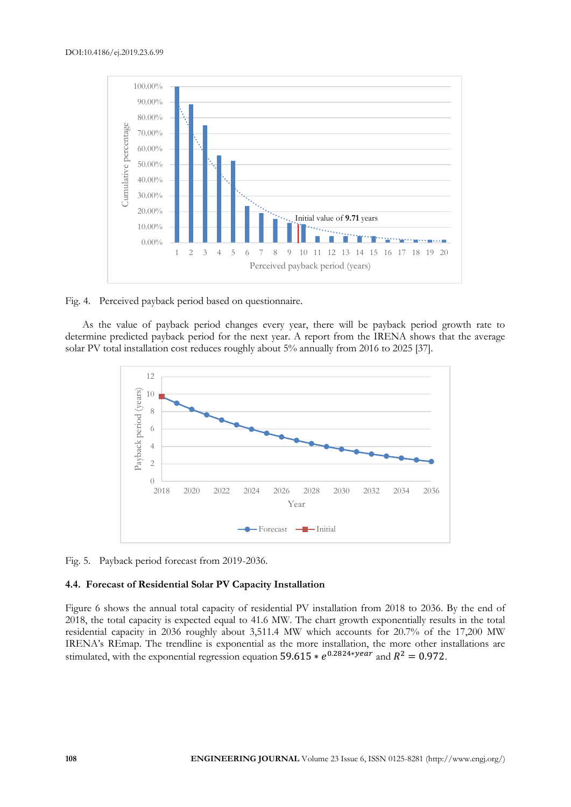

Fig. 4. Perceived payback period based on questionnaire.

As the value of payback period changes every year, there will be payback period growth rate to determine predicted payback period for the next year. A report from the IRENA shows that the average solar PV total installation cost reduces roughly about 5% annually from 2016 to 2025 [37].



Fig. 5. Payback period forecast from 2019-2036.

#### **4.4. Forecast of Residential Solar PV Capacity Installation**

Figure 6 shows the annual total capacity of residential PV installation from 2018 to 2036. By the end of 2018, the total capacity is expected equal to 41.6 MW. The chart growth exponentially results in the total residential capacity in 2036 roughly about 3,511.4 MW which accounts for 20.7% of the 17,200 MW IRENA's REmap. The trendline is exponential as the more installation, the more other installations are stimulated, with the exponential regression equation 59.615  $* e^{0.2824* \text{year}}$  and  $R^2 = 0.972$ .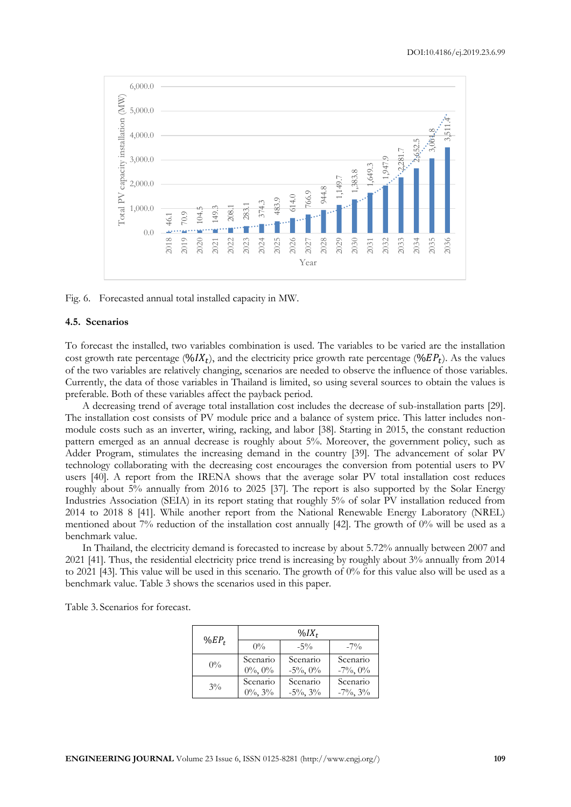

Fig. 6. Forecasted annual total installed capacity in MW.

#### **4.5. Scenarios**

To forecast the installed, two variables combination is used. The variables to be varied are the installation cost growth rate percentage (% $IX_t$ ), and the electricity price growth rate percentage (% $EP_t$ ). As the values of the two variables are relatively changing, scenarios are needed to observe the influence of those variables. Currently, the data of those variables in Thailand is limited, so using several sources to obtain the values is preferable. Both of these variables affect the payback period.

A decreasing trend of average total installation cost includes the decrease of sub-installation parts [29]. The installation cost consists of PV module price and a balance of system price. This latter includes nonmodule costs such as an inverter, wiring, racking, and labor [38]. Starting in 2015, the constant reduction pattern emerged as an annual decrease is roughly about 5%. Moreover, the government policy, such as Adder Program, stimulates the increasing demand in the country [39]. The advancement of solar PV technology collaborating with the decreasing cost encourages the conversion from potential users to PV users [40]. A report from the IRENA shows that the average solar PV total installation cost reduces roughly about 5% annually from 2016 to 2025 [37]. The report is also supported by the Solar Energy Industries Association (SEIA) in its report stating that roughly 5% of solar PV installation reduced from 2014 to 2018 8 [41]. While another report from the National Renewable Energy Laboratory (NREL) mentioned about 7% reduction of the installation cost annually [42]. The growth of  $0\%$  will be used as a benchmark value.

In Thailand, the electricity demand is forecasted to increase by about 5.72% annually between 2007 and 2021 [41]. Thus, the residential electricity price trend is increasing by roughly about 3% annually from 2014 to 2021 [43]. This value will be used in this scenario. The growth of 0% for this value also will be used as a benchmark value. Table 3 shows the scenarios used in this paper.

Table 3. Scenarios for forecast.

|          | $\%IX_t$      |                |                |  |  |  |  |
|----------|---------------|----------------|----------------|--|--|--|--|
| $\%EP_t$ | $0\%$         | $-5\%$         | $-7\%$         |  |  |  |  |
| $0\%$    | Scenario      | Scenario       | Scenario       |  |  |  |  |
|          | $0\%$ , $0\%$ | $-5\%$ , 0%    | $-7\%$ , 0%    |  |  |  |  |
| $3\%$    | Scenario      | Scenario       | Scenario       |  |  |  |  |
|          | $0\%, 3\%$    | $-5\%$ , $3\%$ | $-7\%$ , $3\%$ |  |  |  |  |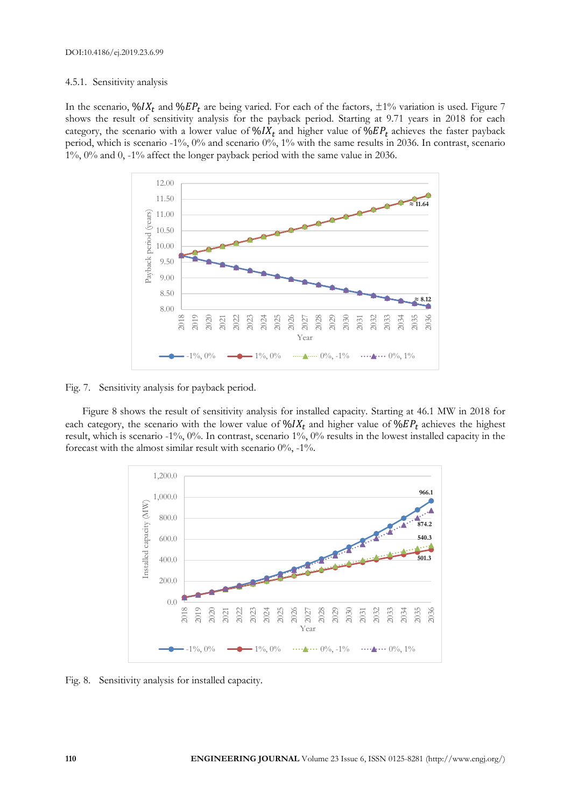# 4.5.1. Sensitivity analysis

In the scenario,  $\%IX_t$  and  $\%EP_t$  are being varied. For each of the factors,  $\pm 1\%$  variation is used. Figure 7 shows the result of sensitivity analysis for the payback period. Starting at 9.71 years in 2018 for each category, the scenario with a lower value of  $\mathcal{N} I X_t$  and higher value of  $\mathcal{N} E P_t$  achieves the faster payback period, which is scenario -1%, 0% and scenario 0%, 1% with the same results in 2036. In contrast, scenario 1%, 0% and 0, -1% affect the longer payback period with the same value in 2036.



Fig. 7. Sensitivity analysis for payback period.

Figure 8 shows the result of sensitivity analysis for installed capacity. Starting at 46.1 MW in 2018 for each category, the scenario with the lower value of  $\mathcal{N}_t I X_t$  and higher value of  $\mathcal{N}_t E P_t$  achieves the highest result, which is scenario -1%, 0%. In contrast, scenario 1%, 0% results in the lowest installed capacity in the forecast with the almost similar result with scenario  $0\%$ ,  $-1\%$ .



Fig. 8. Sensitivity analysis for installed capacity.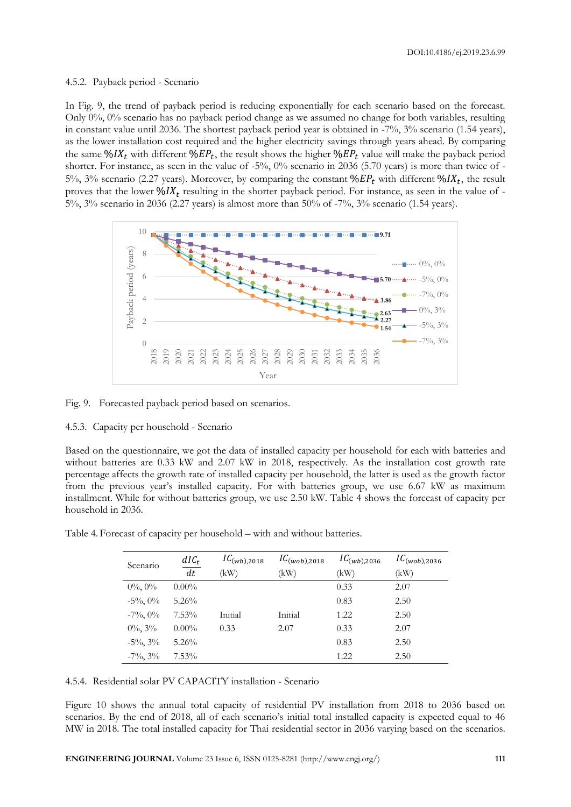DOI:10.4186/ej.2019.23.6.99

#### 4.5.2. Payback period - Scenario

In Fig. 9, the trend of payback period is reducing exponentially for each scenario based on the forecast. Only 0%, 0% scenario has no payback period change as we assumed no change for both variables, resulting in constant value until 2036. The shortest payback period year is obtained in -7%, 3% scenario (1.54 years), as the lower installation cost required and the higher electricity savings through years ahead. By comparing the same  $\frac{6}{X_t}$  with different  $\frac{6}{E}P_t$ , the result shows the higher  $\frac{6}{E}P_t$  value will make the payback period shorter. For instance, as seen in the value of -5%, 0% scenario in 2036 (5.70 years) is more than twice of - 5%, 3% scenario (2.27 years). Moreover, by comparing the constant  $\%EP_t$  with different  $\%IX_t$ , the result proves that the lower  $\frac{6}{X_t}$  resulting in the shorter payback period. For instance, as seen in the value of -5%, 3% scenario in 2036 (2.27 years) is almost more than 50% of -7%, 3% scenario (1.54 years).



Fig. 9. Forecasted payback period based on scenarios.

# 4.5.3. Capacity per household - Scenario

Based on the questionnaire, we got the data of installed capacity per household for each with batteries and without batteries are 0.33 kW and 2.07 kW in 2018, respectively. As the installation cost growth rate percentage affects the growth rate of installed capacity per household, the latter is used as the growth factor from the previous year's installed capacity. For with batteries group, we use 6.67 kW as maximum installment. While for without batteries group, we use 2.50 kW. Table 4 shows the forecast of capacity per household in 2036.

| Table 4. Forecast of capacity per household - with and without batteries. |  |  |  |  |
|---------------------------------------------------------------------------|--|--|--|--|
|                                                                           |  |  |  |  |

| Scenario       | $dIC_t$  | $IC_{(wb), 2018}$ | $IC_{(wob), 2018}$ | $IC_{(wb), 2036}$ | $IC_{(wob),2036}$ |
|----------------|----------|-------------------|--------------------|-------------------|-------------------|
|                | dt       | (kW)              | (kW)               | (kW)              | (kW)              |
| $0\%, 0\%$     | $0.00\%$ |                   |                    | 0.33              | 2.07              |
| $-5\%$ , $0\%$ | $5.26\%$ |                   |                    | 0.83              | 2.50              |
| $-7\%$ , $0\%$ | $7.53\%$ | Initial           | Initial            | 1.22              | 2.50              |
| $0\%$ , $3\%$  | $0.00\%$ | 0.33              | 2.07               | 0.33              | 2.07              |
| $-5\%$ , $3\%$ | $5.26\%$ |                   |                    | 0.83              | 2.50              |
| $-7\%$ , $3\%$ | $7.53\%$ |                   |                    | 1.22              | 2.50              |

4.5.4. Residential solar PV CAPACITY installation - Scenario

Figure 10 shows the annual total capacity of residential PV installation from 2018 to 2036 based on scenarios. By the end of 2018, all of each scenario's initial total installed capacity is expected equal to 46 MW in 2018. The total installed capacity for Thai residential sector in 2036 varying based on the scenarios.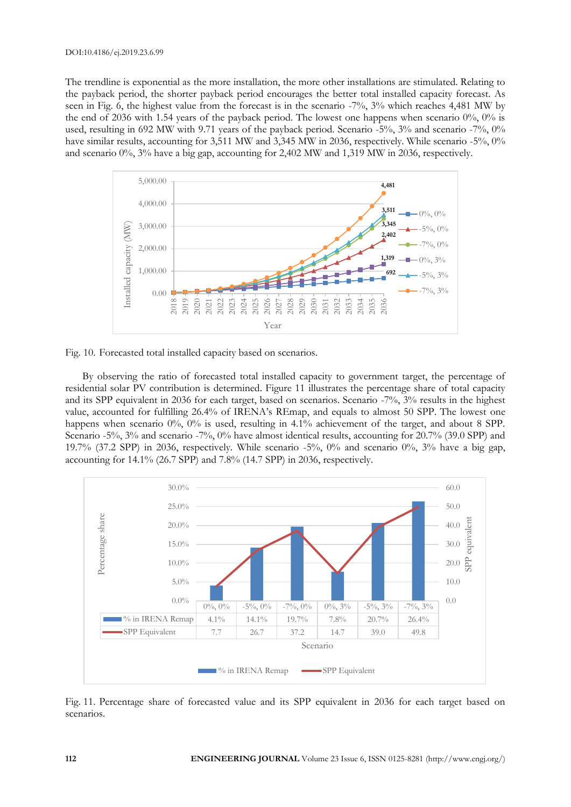The trendline is exponential as the more installation, the more other installations are stimulated. Relating to the payback period, the shorter payback period encourages the better total installed capacity forecast. As seen in Fig. 6, the highest value from the forecast is in the scenario -7%, 3% which reaches 4,481 MW by the end of 2036 with 1.54 years of the payback period. The lowest one happens when scenario 0%, 0% is used, resulting in 692 MW with 9.71 years of the payback period. Scenario -5%, 3% and scenario -7%, 0% have similar results, accounting for 3,511 MW and 3,345 MW in 2036, respectively. While scenario -5%, 0% and scenario 0%, 3% have a big gap, accounting for 2,402 MW and 1,319 MW in 2036, respectively.





By observing the ratio of forecasted total installed capacity to government target, the percentage of residential solar PV contribution is determined. Figure 11 illustrates the percentage share of total capacity and its SPP equivalent in 2036 for each target, based on scenarios. Scenario -7%, 3% results in the highest value, accounted for fulfilling 26.4% of IRENA's REmap, and equals to almost 50 SPP. The lowest one happens when scenario 0%, 0% is used, resulting in 4.1% achievement of the target, and about 8 SPP. Scenario -5%, 3% and scenario -7%, 0% have almost identical results, accounting for 20.7% (39.0 SPP) and 19.7% (37.2 SPP) in 2036, respectively. While scenario  $-5\%$ , 0% and scenario 0%, 3% have a big gap, accounting for 14.1% (26.7 SPP) and 7.8% (14.7 SPP) in 2036, respectively.



Fig. 11. Percentage share of forecasted value and its SPP equivalent in 2036 for each target based on scenarios.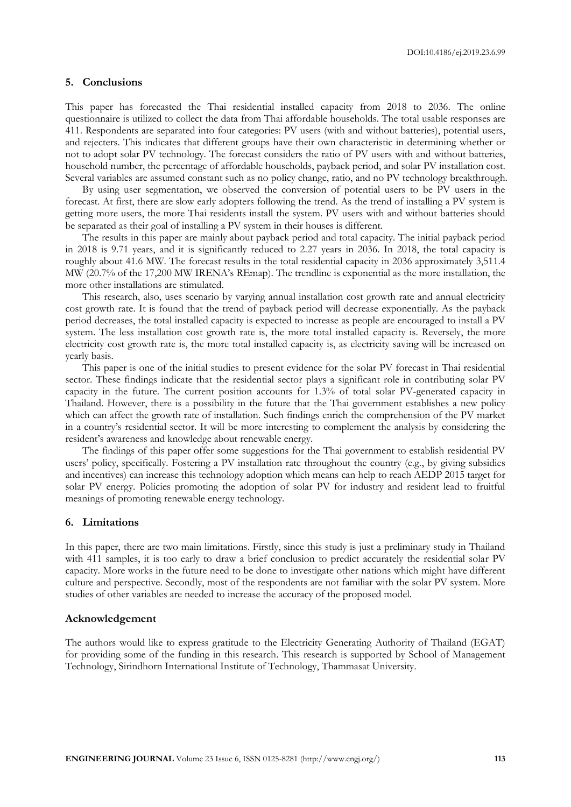#### **5. Conclusions**

This paper has forecasted the Thai residential installed capacity from 2018 to 2036. The online questionnaire is utilized to collect the data from Thai affordable households. The total usable responses are 411. Respondents are separated into four categories: PV users (with and without batteries), potential users, and rejecters. This indicates that different groups have their own characteristic in determining whether or not to adopt solar PV technology. The forecast considers the ratio of PV users with and without batteries, household number, the percentage of affordable households, payback period, and solar PV installation cost. Several variables are assumed constant such as no policy change, ratio, and no PV technology breakthrough.

By using user segmentation, we observed the conversion of potential users to be PV users in the forecast. At first, there are slow early adopters following the trend. As the trend of installing a PV system is getting more users, the more Thai residents install the system. PV users with and without batteries should be separated as their goal of installing a PV system in their houses is different.

The results in this paper are mainly about payback period and total capacity. The initial payback period in 2018 is 9.71 years, and it is significantly reduced to 2.27 years in 2036. In 2018, the total capacity is roughly about 41.6 MW. The forecast results in the total residential capacity in 2036 approximately 3,511.4 MW (20.7% of the 17,200 MW IRENA's REmap). The trendline is exponential as the more installation, the more other installations are stimulated.

This research, also, uses scenario by varying annual installation cost growth rate and annual electricity cost growth rate. It is found that the trend of payback period will decrease exponentially. As the payback period decreases, the total installed capacity is expected to increase as people are encouraged to install a PV system. The less installation cost growth rate is, the more total installed capacity is. Reversely, the more electricity cost growth rate is, the more total installed capacity is, as electricity saving will be increased on yearly basis.

This paper is one of the initial studies to present evidence for the solar PV forecast in Thai residential sector. These findings indicate that the residential sector plays a significant role in contributing solar PV capacity in the future. The current position accounts for 1.3% of total solar PV-generated capacity in Thailand. However, there is a possibility in the future that the Thai government establishes a new policy which can affect the growth rate of installation. Such findings enrich the comprehension of the PV market in a country's residential sector. It will be more interesting to complement the analysis by considering the resident's awareness and knowledge about renewable energy.

The findings of this paper offer some suggestions for the Thai government to establish residential PV users' policy, specifically. Fostering a PV installation rate throughout the country (e.g., by giving subsidies and incentives) can increase this technology adoption which means can help to reach AEDP 2015 target for solar PV energy. Policies promoting the adoption of solar PV for industry and resident lead to fruitful meanings of promoting renewable energy technology.

# **6. Limitations**

In this paper, there are two main limitations. Firstly, since this study is just a preliminary study in Thailand with 411 samples, it is too early to draw a brief conclusion to predict accurately the residential solar PV capacity. More works in the future need to be done to investigate other nations which might have different culture and perspective. Secondly, most of the respondents are not familiar with the solar PV system. More studies of other variables are needed to increase the accuracy of the proposed model.

#### **Acknowledgement**

The authors would like to express gratitude to the Electricity Generating Authority of Thailand (EGAT) for providing some of the funding in this research. This research is supported by School of Management Technology, Sirindhorn International Institute of Technology, Thammasat University.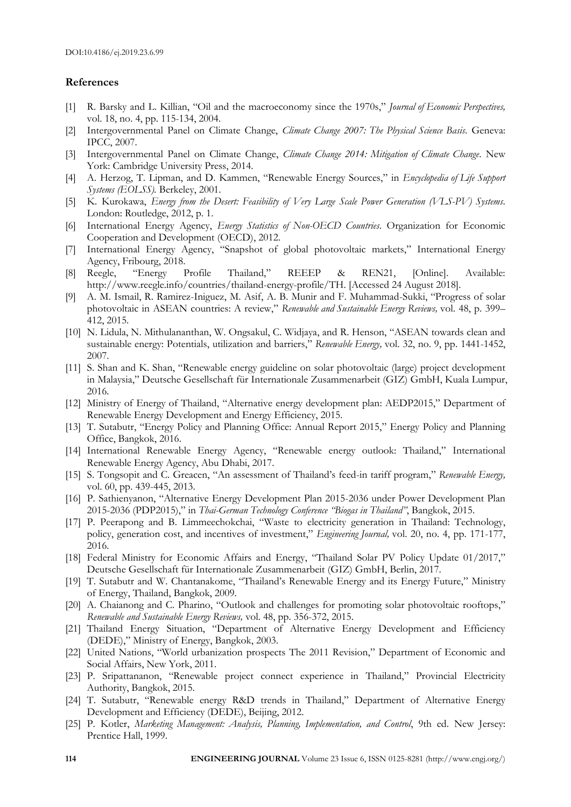#### **References**

- [1] R. Barsky and L. Killian, "Oil and the macroeconomy since the 1970s," *Journal of Economic Perspectives,*  vol. 18, no. 4, pp. 115-134, 2004.
- [2] Intergovernmental Panel on Climate Change, *Climate Change 2007: The Physical Science Basis*. Geneva: IPCC, 2007.
- [3] Intergovernmental Panel on Climate Change, *Climate Change 2014: Mitigation of Climate Change*. New York: Cambridge University Press, 2014.
- [4] A. Herzog, T. Lipman, and D. Kammen, "Renewable Energy Sources," in *Encyclopedia of Life Support Systems (EOLSS).* Berkeley, 2001.
- [5] K. Kurokawa, *Energy from the Desert: Feasibility of Very Large Scale Power Generation (VLS-PV) Systems*. London: Routledge, 2012, p. 1.
- [6] International Energy Agency, *Energy Statistics of Non-OECD Countries*. Organization for Economic Cooperation and Development (OECD), 2012.
- [7] International Energy Agency, "Snapshot of global photovoltaic markets," International Energy Agency, Fribourg, 2018.
- [8] Reegle, "Energy Profile Thailand," REEEP & REN21, [Online]. Available: http://www.reegle.info/countries/thailand-energy-profile/TH. [Accessed 24 August 2018].
- [9] A. M. Ismail, R. Ramirez-Iniguez, M. Asif, A. B. Munir and F. Muhammad-Sukki, "Progress of solar photovoltaic in ASEAN countries: A review," *Renewable and Sustainable Energy Reviews,* vol. 48, p. 399– 412, 2015.
- [10] N. Lidula, N. Mithulananthan, W. Ongsakul, C. Widjaya, and R. Henson, "ASEAN towards clean and sustainable energy: Potentials, utilization and barriers," *Renewable Energy,* vol. 32, no. 9, pp. 1441-1452, 2007.
- [11] S. Shan and K. Shan, "Renewable energy guideline on solar photovoltaic (large) project development in Malaysia," Deutsche Gesellschaft für Internationale Zusammenarbeit (GIZ) GmbH, Kuala Lumpur, 2016.
- [12] Ministry of Energy of Thailand, "Alternative energy development plan: AEDP2015," Department of Renewable Energy Development and Energy Efficiency, 2015.
- [13] T. Sutabutr, "Energy Policy and Planning Office: Annual Report 2015," Energy Policy and Planning Office, Bangkok, 2016.
- [14] International Renewable Energy Agency, "Renewable energy outlook: Thailand," International Renewable Energy Agency, Abu Dhabi, 2017.
- [15] S. Tongsopit and C. Greacen, "An assessment of Thailand's feed-in tariff program," *Renewable Energy,*  vol. 60, pp. 439-445, 2013.
- [16] P. Sathienyanon, "Alternative Energy Development Plan 2015-2036 under Power Development Plan 2015-2036 (PDP2015)," in *Thai-German Technology Conference "Biogas in Thailand"*, Bangkok, 2015.
- [17] P. Peerapong and B. Limmeechokchai, "Waste to electricity generation in Thailand: Technology, policy, generation cost, and incentives of investment," *Engineering Journal,* vol. 20, no. 4, pp. 171-177, 2016.
- [18] Federal Ministry for Economic Affairs and Energy, "Thailand Solar PV Policy Update 01/2017," Deutsche Gesellschaft für Internationale Zusammenarbeit (GIZ) GmbH, Berlin, 2017.
- [19] T. Sutabutr and W. Chantanakome, "Thailand's Renewable Energy and its Energy Future," Ministry of Energy, Thailand, Bangkok, 2009.
- [20] A. Chaianong and C. Pharino, "Outlook and challenges for promoting solar photovoltaic rooftops," *Renewable and Sustainable Energy Reviews,* vol. 48, pp. 356-372, 2015.
- [21] Thailand Energy Situation, "Department of Alternative Energy Development and Efficiency (DEDE)," Ministry of Energy, Bangkok, 2003.
- [22] United Nations, "World urbanization prospects The 2011 Revision," Department of Economic and Social Affairs, New York, 2011.
- [23] P. Sripattananon, "Renewable project connect experience in Thailand," Provincial Electricity Authority, Bangkok, 2015.
- [24] T. Sutabutr, "Renewable energy R&D trends in Thailand," Department of Alternative Energy Development and Efficiency (DEDE), Beijing, 2012.
- [25] P. Kotler, *Marketing Management: Analysis, Planning, Implementation, and Control*, 9th ed. New Jersey: Prentice Hall, 1999.